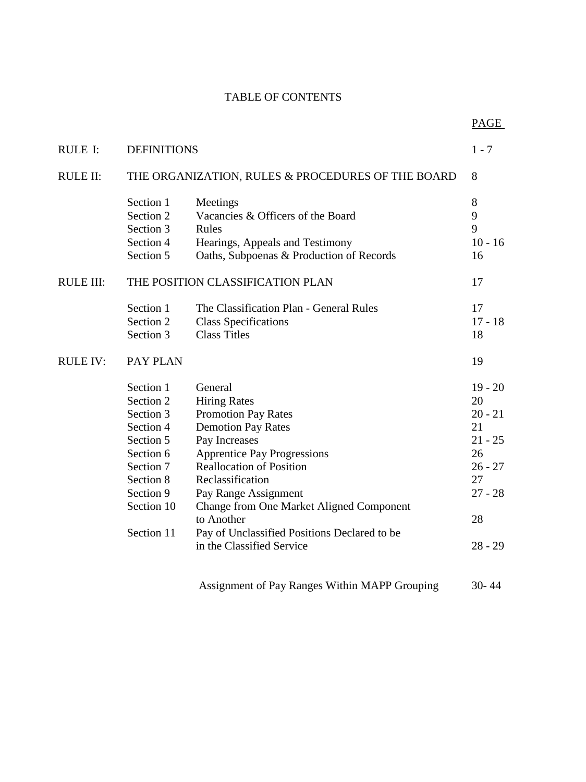## TABLE OF CONTENTS

|                  |                                                   |                                                 | PAGE      |
|------------------|---------------------------------------------------|-------------------------------------------------|-----------|
| <b>RULE I:</b>   | <b>DEFINITIONS</b>                                |                                                 |           |
| <b>RULE II:</b>  | THE ORGANIZATION, RULES & PROCEDURES OF THE BOARD |                                                 | 8         |
|                  | Section 1                                         | Meetings                                        | $8\,$     |
|                  | Section 2                                         | Vacancies & Officers of the Board               | 9         |
|                  | Section 3                                         | Rules                                           | 9         |
|                  | Section 4                                         | Hearings, Appeals and Testimony                 | $10 - 16$ |
|                  | Section 5                                         | Oaths, Subpoenas & Production of Records        | 16        |
| <b>RULE III:</b> | THE POSITION CLASSIFICATION PLAN                  |                                                 |           |
|                  | Section 1                                         | The Classification Plan - General Rules         | 17        |
|                  | Section 2                                         | <b>Class Specifications</b>                     | $17 - 18$ |
|                  | Section 3                                         | <b>Class Titles</b>                             | 18        |
| <b>RULE IV:</b>  | PAY PLAN                                          |                                                 | 19        |
|                  | Section 1                                         | General                                         | $19 - 20$ |
|                  | Section 2                                         | <b>Hiring Rates</b>                             | 20        |
|                  | Section 3                                         | <b>Promotion Pay Rates</b>                      | $20 - 21$ |
|                  | Section 4                                         | <b>Demotion Pay Rates</b>                       | 21        |
|                  | Section 5                                         | Pay Increases                                   | $21 - 25$ |
|                  | Section 6                                         | <b>Apprentice Pay Progressions</b>              | 26        |
|                  | Section 7                                         | <b>Reallocation of Position</b>                 | $26 - 27$ |
|                  | Section 8                                         | Reclassification                                | 27        |
|                  | Section 9                                         | Pay Range Assignment                            | $27 - 28$ |
|                  | Section 10                                        | <b>Change from One Market Aligned Component</b> |           |
|                  |                                                   | to Another                                      | 28        |
|                  | Section 11                                        | Pay of Unclassified Positions Declared to be    |           |
|                  |                                                   | in the Classified Service                       | $28 - 29$ |
|                  |                                                   |                                                 |           |
|                  |                                                   | Assignment of Pay Ranges Within MAPP Grouping   | $30 - 44$ |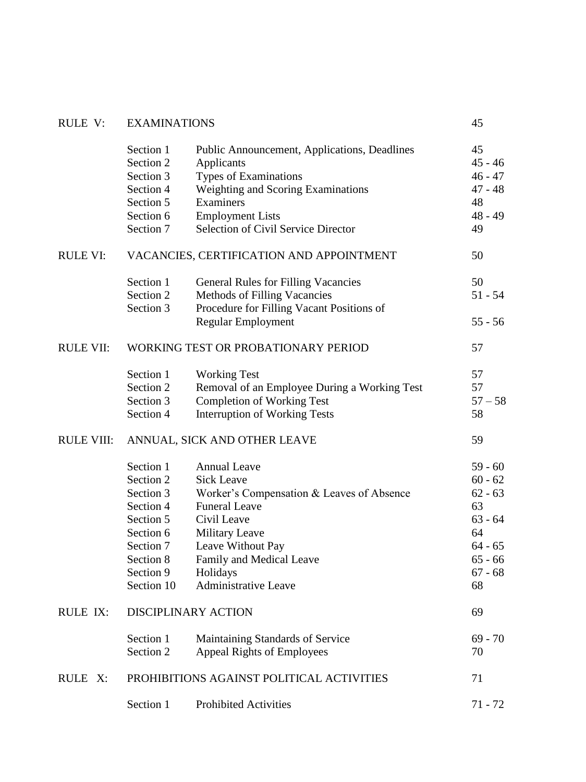| RULE V:           | <b>EXAMINATIONS</b>                       |                                              | 45        |  |
|-------------------|-------------------------------------------|----------------------------------------------|-----------|--|
|                   | Section 1                                 | Public Announcement, Applications, Deadlines | 45        |  |
|                   | Section 2                                 | Applicants                                   | $45 - 46$ |  |
|                   | Section 3                                 | Types of Examinations                        | $46 - 47$ |  |
|                   | Section 4                                 | Weighting and Scoring Examinations           | $47 - 48$ |  |
|                   | Section 5                                 | Examiners                                    | 48        |  |
|                   | Section 6                                 | <b>Employment Lists</b>                      | $48 - 49$ |  |
|                   | Section 7                                 | <b>Selection of Civil Service Director</b>   | 49        |  |
| RULE VI:          | VACANCIES, CERTIFICATION AND APPOINTMENT  | 50                                           |           |  |
|                   | Section 1                                 | <b>General Rules for Filling Vacancies</b>   | 50        |  |
|                   | Section 2                                 | Methods of Filling Vacancies                 | $51 - 54$ |  |
|                   | Section 3                                 | Procedure for Filling Vacant Positions of    |           |  |
|                   |                                           | <b>Regular Employment</b>                    | $55 - 56$ |  |
| <b>RULE VII:</b>  | WORKING TEST OR PROBATIONARY PERIOD       | 57                                           |           |  |
|                   | Section 1                                 | <b>Working Test</b>                          | 57        |  |
|                   | Section 2                                 | Removal of an Employee During a Working Test | 57        |  |
|                   | Section 3                                 | <b>Completion of Working Test</b>            | $57 - 58$ |  |
|                   | Section 4                                 | <b>Interruption of Working Tests</b>         | 58        |  |
| <b>RULE VIII:</b> | ANNUAL, SICK AND OTHER LEAVE              | 59                                           |           |  |
|                   | Section 1                                 | <b>Annual Leave</b>                          | $59 - 60$ |  |
|                   | Section 2                                 | <b>Sick Leave</b>                            | $60 - 62$ |  |
|                   | Section 3                                 | Worker's Compensation & Leaves of Absence    | $62 - 63$ |  |
|                   | Section 4                                 | <b>Funeral Leave</b>                         | 63        |  |
|                   | Section 5                                 | Civil Leave                                  | $63 - 64$ |  |
|                   | Section 6                                 | <b>Military Leave</b>                        | 64        |  |
|                   | Section 7                                 | Leave Without Pay                            | $64 - 65$ |  |
|                   | Section 8                                 | Family and Medical Leave                     | $65 - 66$ |  |
|                   | Section 9                                 | Holidays                                     | $67 - 68$ |  |
|                   | Section 10                                | <b>Administrative Leave</b>                  | 68        |  |
| RULE IX:          | DISCIPLINARY ACTION                       | 69                                           |           |  |
|                   | Section 1                                 | Maintaining Standards of Service             | $69 - 70$ |  |
|                   | Section 2                                 | <b>Appeal Rights of Employees</b>            | 70        |  |
| RULE X:           | PROHIBITIONS AGAINST POLITICAL ACTIVITIES | 71                                           |           |  |
|                   | Section 1                                 | <b>Prohibited Activities</b>                 | $71 - 72$ |  |